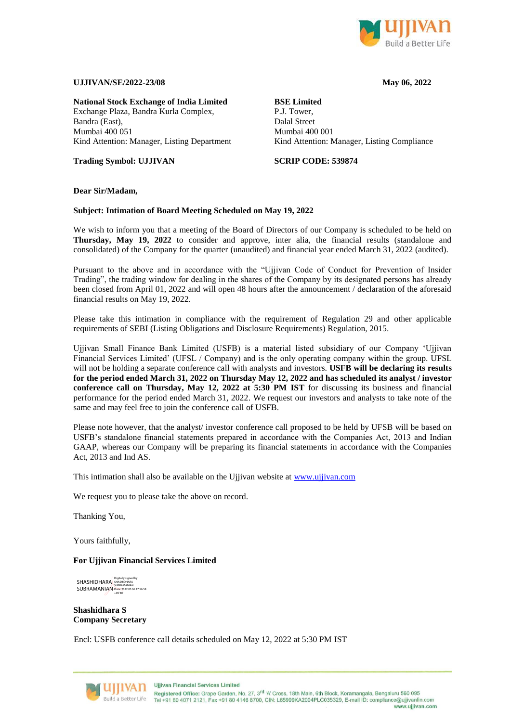

## **UJJIVAN/SE/2022-23/08 May 06, 2022**

**National Stock Exchange of India Limited** Exchange Plaza, Bandra Kurla Complex, Bandra (East), Mumbai 400 051 Kind Attention: Manager, Listing Department

**Trading Symbol: UJJIVAN**

## **BSE Limited**

P.J. Tower, Dalal Street Mumbai 400 001 Kind Attention: Manager, Listing Compliance

**SCRIP CODE: 539874**

**Dear Sir/Madam,**

### **Subject: Intimation of Board Meeting Scheduled on May 19, 2022**

We wish to inform you that a meeting of the Board of Directors of our Company is scheduled to be held on **Thursday, May 19, 2022** to consider and approve, inter alia, the financial results (standalone and consolidated) of the Company for the quarter (unaudited) and financial year ended March 31, 2022 (audited).

Pursuant to the above and in accordance with the "Ujjivan Code of Conduct for Prevention of Insider Trading", the trading window for dealing in the shares of the Company by its designated persons has already been closed from April 01, 2022 and will open 48 hours after the announcement / declaration of the aforesaid financial results on May 19, 2022.

Please take this intimation in compliance with the requirement of Regulation 29 and other applicable requirements of SEBI (Listing Obligations and Disclosure Requirements) Regulation, 2015.

Ujjivan Small Finance Bank Limited (USFB) is a material listed subsidiary of our Company 'Ujjivan Financial Services Limited' (UFSL / Company) and is the only operating company within the group. UFSL will not be holding a separate conference call with analysts and investors. **USFB will be declaring its results for the period ended March 31, 2022 on Thursday May 12, 2022 and has scheduled its analyst / investor conference call on Thursday, May 12, 2022 at 5:30 PM IST** for discussing its business and financial performance for the period ended March 31, 2022. We request our investors and analysts to take note of the same and may feel free to join the conference call of USFB.

Please note however, that the analyst/investor conference call proposed to be held by UFSB will be based on USFB's standalone financial statements prepared in accordance with the Companies Act, 2013 and Indian GAAP, whereas our Company will be preparing its financial statements in accordance with the Companies Act, 2013 and Ind AS.

This intimation shall also be available on the Ujjivan website at [www.ujjivan.com](http://www.ujjivan.com/)

We request you to please take the above on record.

Thanking You,

Yours faithfully,

#### **For Ujjivan Financial Services Limited**

SHASHIDHARA **SURRAMANIAN** Digitally signed by SHASHIDHARA SUBRAMANIAN Date: 2022.05.06 17:56:58 +05'30'

**Shashidhara S Company Secretary**

Encl: USFB conference call details scheduled on May 12, 2022 at 5:30 PM IST



**Ujjivan Financial Services Limited** 

Registered Office: Grape Garden, No. 27, 3<sup>rd</sup> 'A' Cross, 18th Main, 6th Block, Koramangala, Bengaluru 560 095 Tel +91 80 4071 2121, Fax +91 80 4146 8700, CIN: L65999KA2004PLC035329, E-mail ID: compliance@ujjivanfin.com www.uiiivan.com